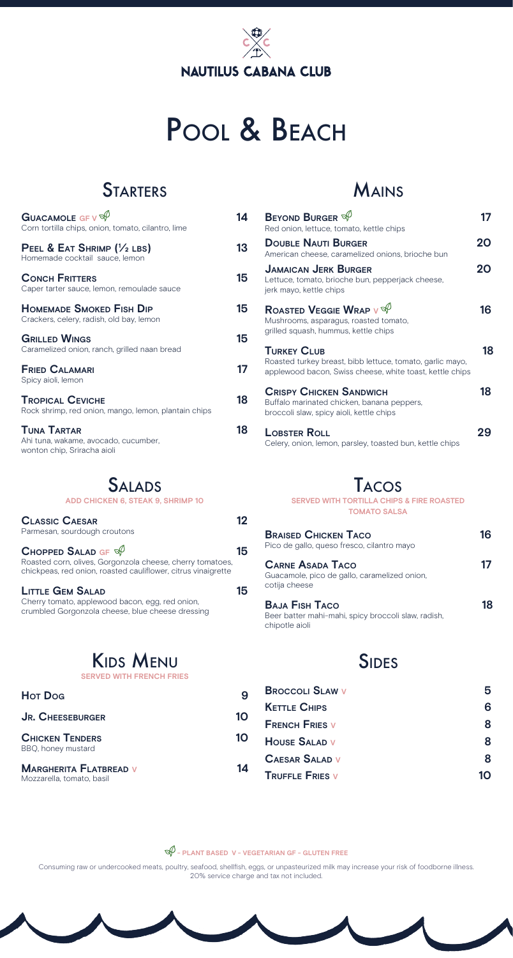# **NAUTILUS CABANA CLUB**

# POOL & BEACH

# **STARTERS**

| <b>GUACAMOLE GF V <math>\mathbb{S}</math></b><br>Corn tortilla chips, onion, tomato, cilantro, lime | 14 |
|-----------------------------------------------------------------------------------------------------|----|
| PEEL & EAT SHRIMP (1/2 LBS)<br>Homemade cocktail sauce, lemon                                       | 13 |
| <b>CONCH FRITTERS</b><br>Caper tarter sauce, lemon, remoulade sauce                                 | 15 |
| <b>HOMEMADE SMOKED FISH DIP</b><br>Crackers, celery, radish, old bay, lemon                         | 15 |
| <b>GRILLED WINGS</b><br>Caramelized onion, ranch, grilled naan bread                                | 15 |
| <b>FRIED CALAMARI</b><br>Spicy aioli, lemon                                                         | 17 |
| <b>TROPICAL CEVICHE</b><br>Rock shrimp, red onion, mango, lemon, plantain chips                     | 18 |
| <b>TUNA TARTAR</b><br>Ahi tuna, wakame, avocado, cucumber,<br>wonton chip, Sriracha aioli           | 18 |

#### **SALADS**

| ADD CHICKEN 6, STEAK 9, SHRIMP 10                                                                                                                                             |    |
|-------------------------------------------------------------------------------------------------------------------------------------------------------------------------------|----|
| <b>CLASSIC CAESAR</b><br>Parmesan, sourdough croutons                                                                                                                         | 12 |
| <b>CHOPPED SALAD GF <math>\mathbb{S}</math></b><br>Roasted corn, olives, Gorgonzola cheese, cherry tomatoes,<br>chickpeas, red onion, roasted cauliflower, citrus vinaigrette | 15 |
| <b>LITTLE GEM SALAD</b><br>Cherry tomato, applewood bacon, egg, red onion,<br>crumbled Gorgonzola cheese, blue cheese dressing                                                | 15 |

#### KIDS MENU

**SERVED WITH FRENCH FRIES** 

| <b>Hot Dog</b>                                             |    |
|------------------------------------------------------------|----|
| <b>JR. CHEESEBURGER</b>                                    | 10 |
| <b>CHICKEN TENDERS</b><br>BBQ, honey mustard               | 10 |
| <b>MARGHERITA FLATBREAD V</b><br>Mozzarella, tomato, basil | 14 |

#### MAINS

| <b>BEYOND BURGER <math>\mathbb{S}^{\mathcal{O}}</math></b><br>Red onion, lettuce, tomato, kettle chips                                      |    |
|---------------------------------------------------------------------------------------------------------------------------------------------|----|
| <b>DOUBLE NAUTI BURGER</b><br>American cheese, caramelized onions, brioche bun                                                              | 20 |
| <b>JAMAICAN JERK BURGER</b><br>Lettuce, tomato, brioche bun, pepperjack cheese,<br>jerk mayo, kettle chips                                  | 20 |
| ROASTED VEGGIE WRAP V $\mathbb{S}$<br>Mushrooms, asparagus, roasted tomato,<br>grilled squash, hummus, kettle chips                         | 16 |
| <b>TURKEY CLUB</b><br>Roasted turkey breast, bibb lettuce, tomato, garlic mayo,<br>applewood bacon, Swiss cheese, white toast, kettle chips | 18 |
| <b>CRISPY CHICKEN SANDWICH</b><br>Buffalo marinated chicken, banana peppers,<br>broccoli slaw, spicy aioli, kettle chips                    | 18 |
| LOBSTER ROLL<br>Celery, onion, lemon, parsley, toasted bun, kettle chips                                                                    |    |

#### TACOS

**SERVED WITH TORTILLA CHIPS & FIRE ROASTED TOMATO SALSA** 

| <b>BRAISED CHICKEN TACO</b><br>Pico de gallo, queso fresco, cilantro mayo                      | 16 |
|------------------------------------------------------------------------------------------------|----|
| <b>CARNE ASADA TACO</b><br>Guacamole, pico de gallo, caramelized onion,<br>cotija cheese       |    |
| <b>BAJA FISH TACO</b><br>Beer batter mahi-mahi, spicy broccoli slaw, radish,<br>chipotle aioli | 18 |

#### **SIDES**

| <b>BROCCOLL SLAW V</b> |    |
|------------------------|----|
| <b>KETTLE CHIPS</b>    | 6  |
| <b>FRENCH FRIES V</b>  | 8  |
| <b>HOUSE SALAD V</b>   | 8  |
| <b>CAESAR SALAD V</b>  | я  |
| <b>TRUFFLE FRIES V</b> | 10 |

**- PLANT BASED V - VEGETARIAN GF - GLUTEN FREE** 

Consuming raw or undercooked meats, poultry, seafood, shellfsh, eggs, or unpasteurized milk may increase your risk of foodborne illness. 20% service charge and tax not included.